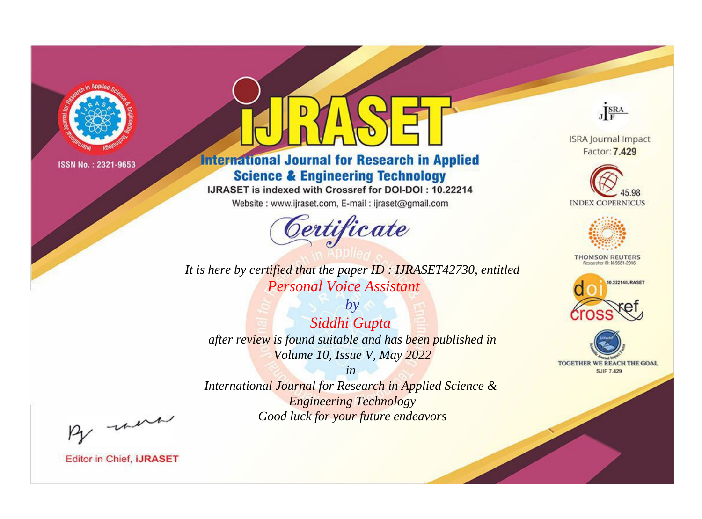

# **International Journal for Research in Applied Science & Engineering Technology**

IJRASET is indexed with Crossref for DOI-DOI: 10.22214

Website: www.ijraset.com, E-mail: ijraset@gmail.com



*It is here by certified that the paper ID : IJRASET42730, entitled Personal Voice Assistant*

*by Siddhi Gupta after review is found suitable and has been published in Volume 10, Issue V, May 2022*

*in International Journal for Research in Applied Science & Engineering Technology Good luck for your future endeavors*



**ISRA Journal Impact** Factor: 7.429





**THOMSON REUTERS** 





By morn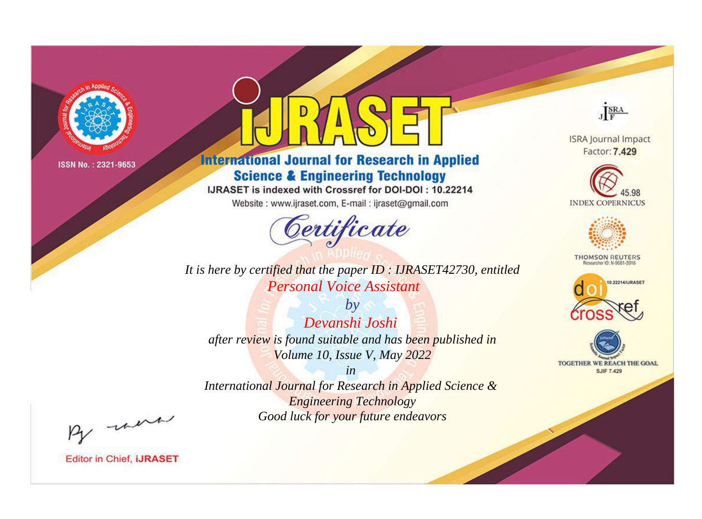

# **International Journal for Research in Applied Science & Engineering Technology**

IJRASET is indexed with Crossref for DOI-DOI: 10.22214

Website: www.ijraset.com, E-mail: ijraset@gmail.com



*It is here by certified that the paper ID : IJRASET42730, entitled Personal Voice Assistant*

*by Devanshi Joshi after review is found suitable and has been published in Volume 10, Issue V, May 2022*

*in International Journal for Research in Applied Science & Engineering Technology Good luck for your future endeavors*



**ISRA Journal Impact** Factor: 7.429





**THOMSON REUTERS** 





By morn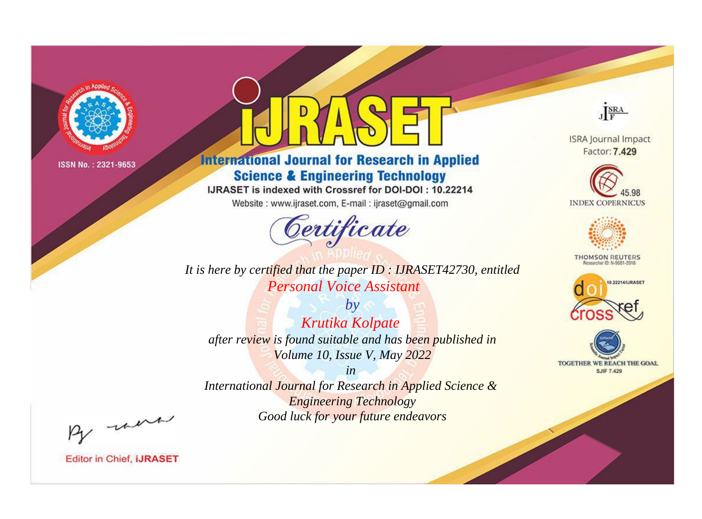

# **International Journal for Research in Applied Science & Engineering Technology**

IJRASET is indexed with Crossref for DOI-DOI: 10.22214

Website: www.ijraset.com, E-mail: ijraset@gmail.com



It is here by certified that the paper ID: IJRASET42730, entitled **Personal Voice Assistant** 

 $by$ Krutika Kolpate after review is found suitable and has been published in Volume 10, Issue V, May 2022

 $in$ International Journal for Research in Applied Science & **Engineering Technology** Good luck for your future endeavors

By morn

**Editor in Chief, IJRASET** 

**ISRA Journal Impact** Factor: 7.429

JERA





**THOMSON REUTERS** 



TOGETHER WE REACH THE GOAL **SJIF 7.429**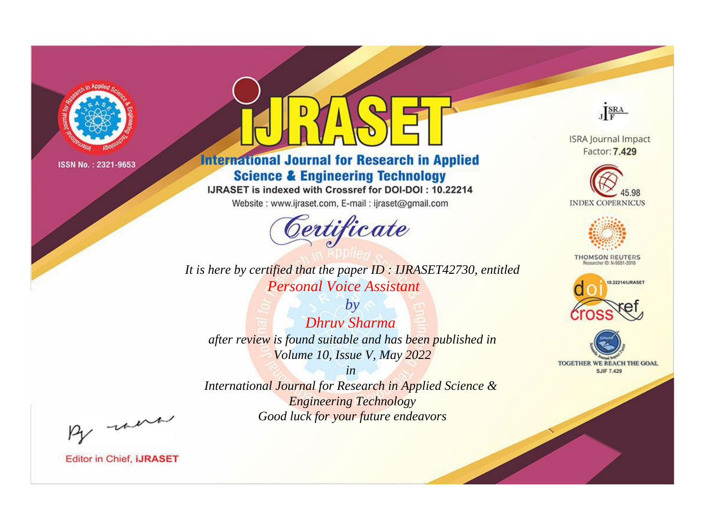

# **International Journal for Research in Applied Science & Engineering Technology**

IJRASET is indexed with Crossref for DOI-DOI: 10.22214

Website: www.ijraset.com, E-mail: ijraset@gmail.com



*It is here by certified that the paper ID : IJRASET42730, entitled Personal Voice Assistant*

*by Dhruv Sharma after review is found suitable and has been published in Volume 10, Issue V, May 2022*

*in International Journal for Research in Applied Science & Engineering Technology Good luck for your future endeavors*



**ISRA Journal Impact** Factor: 7.429





**THOMSON REUTERS** 





By morn